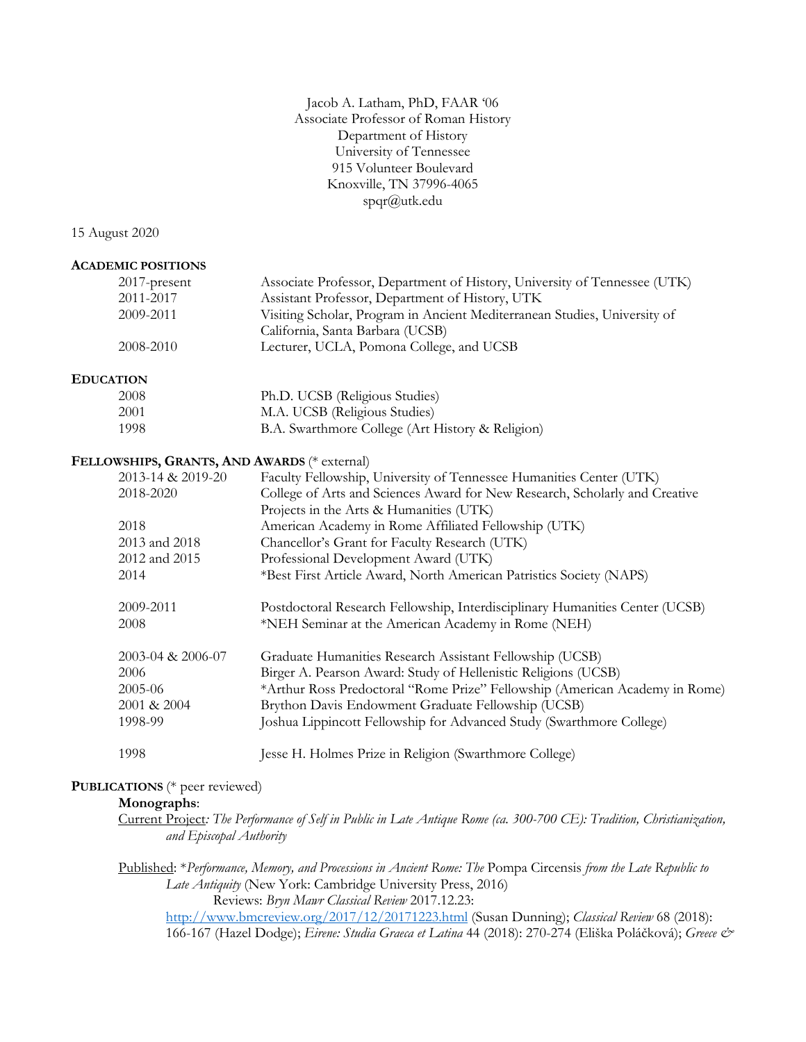Jacob A. Latham, PhD, FAAR '06 Associate Professor of Roman History Department of History University of Tennessee 915 Volunteer Boulevard Knoxville, TN 37996-4065 spqr@utk.edu

15 August 2020

#### **ACADEMIC POSITIONS**

| $2017$ -present | Associate Professor, Department of History, University of Tennessee (UTK) |
|-----------------|---------------------------------------------------------------------------|
| 2011-2017       | Assistant Professor, Department of History, UTK                           |
| 2009-2011       | Visiting Scholar, Program in Ancient Mediterranean Studies, University of |
|                 | California, Santa Barbara (UCSB)                                          |
| 2008-2010       | Lecturer, UCLA, Pomona College, and UCSB                                  |

#### **EDUCATION**

| 2008 | Ph.D. UCSB (Religious Studies)                   |
|------|--------------------------------------------------|
| 2001 | M.A. UCSB (Religious Studies)                    |
| 1998 | B.A. Swarthmore College (Art History & Religion) |

#### **FELLOWSHIPS, GRANTS, AND AWARDS** (\* external)

| 2013-14 & 2019-20 | Faculty Fellowship, University of Tennessee Humanities Center (UTK)          |
|-------------------|------------------------------------------------------------------------------|
| 2018-2020         | College of Arts and Sciences Award for New Research, Scholarly and Creative  |
|                   | Projects in the Arts & Humanities (UTK)                                      |
| 2018              | American Academy in Rome Affiliated Fellowship (UTK)                         |
| 2013 and 2018     | Chancellor's Grant for Faculty Research (UTK)                                |
| 2012 and 2015     | Professional Development Award (UTK)                                         |
| 2014              | *Best First Article Award, North American Patristics Society (NAPS)          |
| 2009-2011         | Postdoctoral Research Fellowship, Interdisciplinary Humanities Center (UCSB) |
| 2008              | *NEH Seminar at the American Academy in Rome (NEH)                           |
| 2003-04 & 2006-07 | Graduate Humanities Research Assistant Fellowship (UCSB)                     |
| 2006              | Birger A. Pearson Award: Study of Hellenistic Religions (UCSB)               |
| 2005-06           | *Arthur Ross Predoctoral "Rome Prize" Fellowship (American Academy in Rome)  |
| 2001 & 2004       | Brython Davis Endowment Graduate Fellowship (UCSB)                           |
| 1998-99           | Joshua Lippincott Fellowship for Advanced Study (Swarthmore College)         |
| 1998              | Jesse H. Holmes Prize in Religion (Swarthmore College)                       |

#### **PUBLICATIONS** (\* peer reviewed)

## **Monographs**:

Current Project*: The Performance of Self in Public in Late Antique Rome (ca. 300-700 CE): Tradition, Christianization, and Episcopal Authority*

Published: \**Performance, Memory, and Processions in Ancient Rome: The* Pompa Circensis *from the Late Republic to Late Antiquity* (New York: Cambridge University Press, 2016) Reviews: *Bryn Mawr Classical Review* 2017.12.23:

http://www.bmcreview.org/2017/12/20171223.html (Susan Dunning); *Classical Review* 68 (2018): 166-167 (Hazel Dodge); *Eirene: Studia Graeca et Latina* 44 (2018): 270-274 (Eliška Poláčková); *Greece &*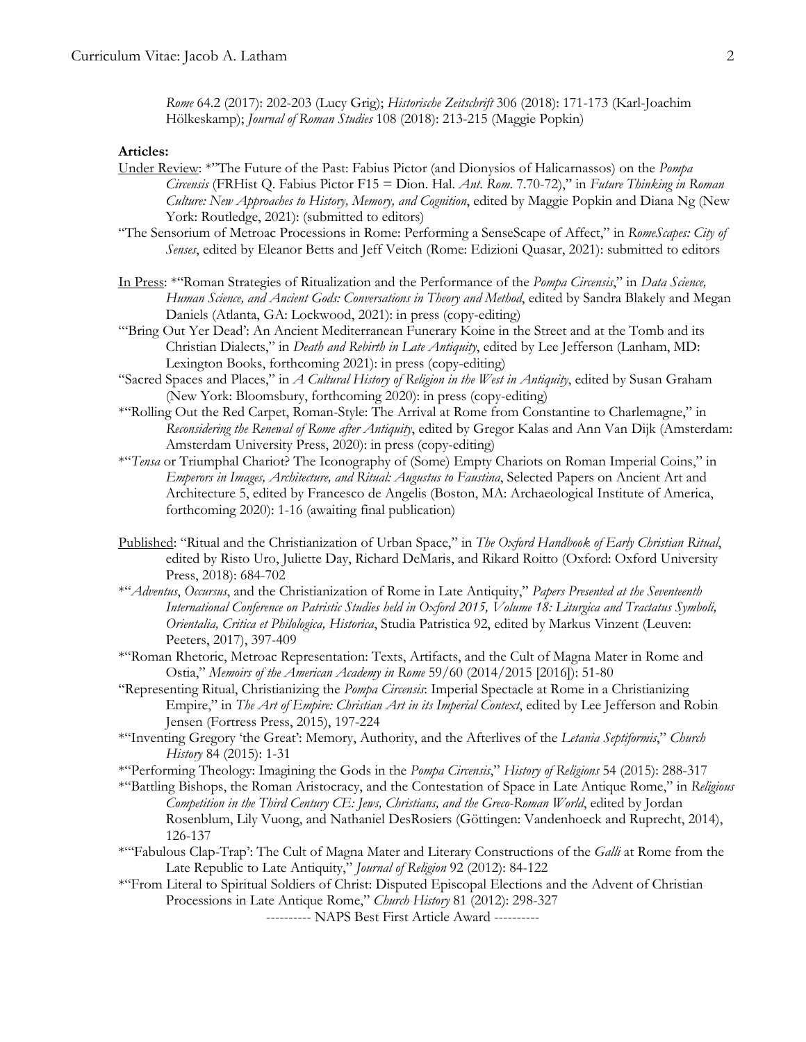*Rome* 64.2 (2017): 202-203 (Lucy Grig); *Historische Zeitschrift* 306 (2018): 171-173 (Karl-Joachim Hölkeskamp); *Journal of Roman Studies* 108 (2018): 213-215 (Maggie Popkin)

## **Articles:**

- Under Review: \*"The Future of the Past: Fabius Pictor (and Dionysios of Halicarnassos) on the *Pompa Circensis* (FRHist Q. Fabius Pictor F15 = Dion. Hal. *Ant*. *Rom*. 7.70-72)," in *Future Thinking in Roman Culture: New Approaches to History, Memory, and Cognition*, edited by Maggie Popkin and Diana Ng (New York: Routledge, 2021): (submitted to editors)
- "The Sensorium of Metroac Processions in Rome: Performing a SenseScape of Affect," in *RomeScapes: City of Senses*, edited by Eleanor Betts and Jeff Veitch (Rome: Edizioni Quasar, 2021): submitted to editors
- In Press: \*"Roman Strategies of Ritualization and the Performance of the *Pompa Circensis*," in *Data Science, Human Science, and Ancient Gods: Conversations in Theory and Method*, edited by Sandra Blakely and Megan Daniels (Atlanta, GA: Lockwood, 2021): in press (copy-editing)
- "'Bring Out Yer Dead': An Ancient Mediterranean Funerary Koine in the Street and at the Tomb and its Christian Dialects," in *Death and Rebirth in Late Antiquity*, edited by Lee Jefferson (Lanham, MD: Lexington Books, forthcoming 2021): in press (copy-editing)
- "Sacred Spaces and Places," in *A Cultural History of Religion in the West in Antiquity*, edited by Susan Graham (New York: Bloomsbury, forthcoming 2020): in press (copy-editing)
- \*"Rolling Out the Red Carpet, Roman-Style: The Arrival at Rome from Constantine to Charlemagne," in *Reconsidering the Renewal of Rome after Antiquity*, edited by Gregor Kalas and Ann Van Dijk (Amsterdam: Amsterdam University Press, 2020): in press (copy-editing)
- \*"*Tensa* or Triumphal Chariot? The Iconography of (Some) Empty Chariots on Roman Imperial Coins," in *Emperors in Images, Architecture, and Ritual: Augustus to Faustina*, Selected Papers on Ancient Art and Architecture 5, edited by Francesco de Angelis (Boston, MA: Archaeological Institute of America, forthcoming 2020): 1-16 (awaiting final publication)
- Published: "Ritual and the Christianization of Urban Space," in *The Oxford Handbook of Early Christian Ritual*, edited by Risto Uro, Juliette Day, Richard DeMaris, and Rikard Roitto (Oxford: Oxford University Press, 2018): 684-702
- \*"*Adventus*, *Occursus*, and the Christianization of Rome in Late Antiquity," *Papers Presented at the Seventeenth International Conference on Patristic Studies held in Oxford 2015, Volume 18: Liturgica and Tractatus Symboli, Orientalia, Critica et Philologica, Historica*, Studia Patristica 92, edited by Markus Vinzent (Leuven: Peeters, 2017), 397-409
- \*"Roman Rhetoric, Metroac Representation: Texts, Artifacts, and the Cult of Magna Mater in Rome and Ostia," *Memoirs of the American Academy in Rome* 59/60 (2014/2015 [2016]): 51-80
- "Representing Ritual, Christianizing the *Pompa Circensis*: Imperial Spectacle at Rome in a Christianizing Empire," in *The Art of Empire: Christian Art in its Imperial Context*, edited by Lee Jefferson and Robin Jensen (Fortress Press, 2015), 197-224
- \*"Inventing Gregory 'the Great': Memory, Authority, and the Afterlives of the *Letania Septiformis*," *Church History* 84 (2015): 1-31
- \*"Performing Theology: Imagining the Gods in the *Pompa Circensis*," *History of Religions* 54 (2015): 288-317
- \*"Battling Bishops, the Roman Aristocracy, and the Contestation of Space in Late Antique Rome," in *Religious Competition in the Third Century CE: Jews, Christians, and the Greco-Roman World*, edited by Jordan Rosenblum, Lily Vuong, and Nathaniel DesRosiers (Göttingen: Vandenhoeck and Ruprecht, 2014), 126-137
- \*"'Fabulous Clap-Trap': The Cult of Magna Mater and Literary Constructions of the *Galli* at Rome from the Late Republic to Late Antiquity," *Journal of Religion* 92 (2012): 84-122
- \*"From Literal to Spiritual Soldiers of Christ: Disputed Episcopal Elections and the Advent of Christian Processions in Late Antique Rome," *Church History* 81 (2012): 298-327

---------- NAPS Best First Article Award ----------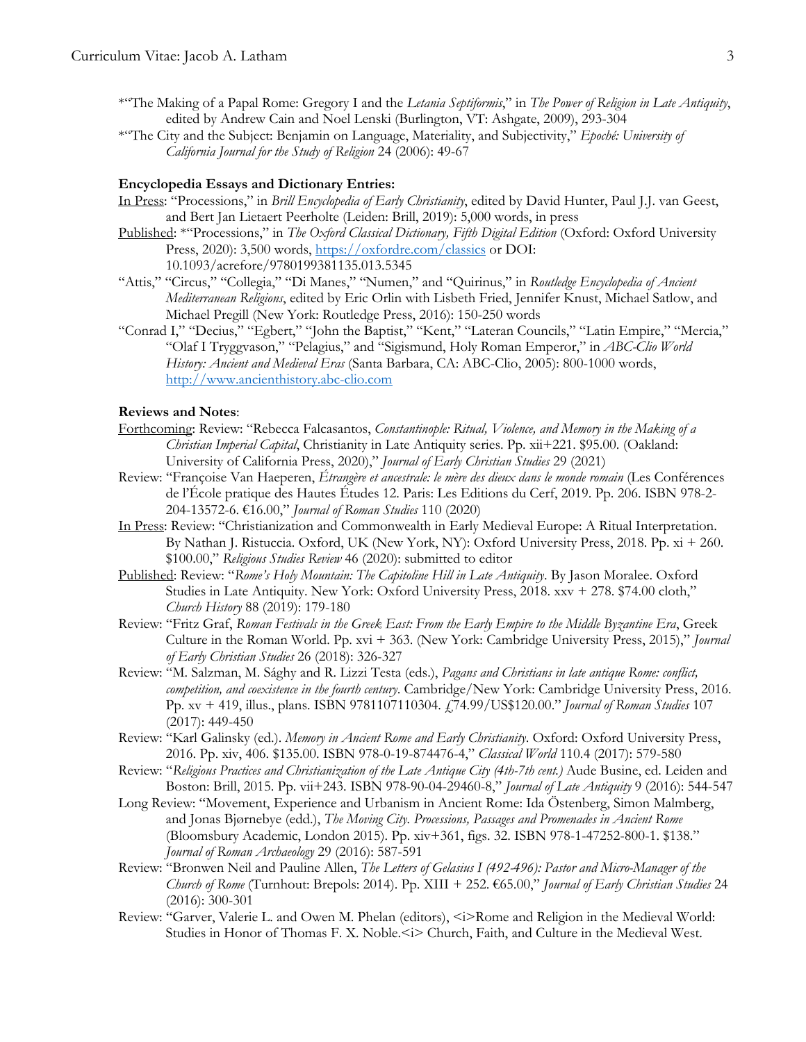- \*"The Making of a Papal Rome: Gregory I and the *Letania Septiformis*," in *The Power of Religion in Late Antiquity*, edited by Andrew Cain and Noel Lenski (Burlington, VT: Ashgate, 2009), 293-304
- \*"The City and the Subject: Benjamin on Language, Materiality, and Subjectivity," *Epoché: University of California Journal for the Study of Religion* 24 (2006): 49-67

#### **Encyclopedia Essays and Dictionary Entries:**

- In Press: "Processions," in *Brill Encyclopedia of Early Christianity*, edited by David Hunter, Paul J.J. van Geest, and Bert Jan Lietaert Peerholte (Leiden: Brill, 2019): 5,000 words, in press
- Published: \*"Processions," in *The Oxford Classical Dictionary, Fifth Digital Edition* (Oxford: Oxford University Press, 2020): 3,500 words, https://oxfordre.com/classics or DOI: 10.1093/acrefore/9780199381135.013.5345
- "Attis," "Circus," "Collegia," "Di Manes," "Numen," and "Quirinus," in *Routledge Encyclopedia of Ancient Mediterranean Religions*, edited by Eric Orlin with Lisbeth Fried, Jennifer Knust, Michael Satlow, and Michael Pregill (New York: Routledge Press, 2016): 150-250 words
- "Conrad I," "Decius," "Egbert," "John the Baptist," "Kent," "Lateran Councils," "Latin Empire," "Mercia," "Olaf I Tryggvason," "Pelagius," and "Sigismund, Holy Roman Emperor," in *ABC-Clio World History: Ancient and Medieval Eras* (Santa Barbara, CA: ABC-Clio, 2005): 800-1000 words, http://www.ancienthistory.abc-clio.com

# **Reviews and Notes**:

- Forthcoming: Review: "Rebecca Falcasantos, *Constantinople: Ritual, Violence, and Memory in the Making of a Christian Imperial Capital*, Christianity in Late Antiquity series. Pp. xii+221. \$95.00. (Oakland: University of California Press, 2020)," *Journal of Early Christian Studies* 29 (2021)
- Review: "Françoise Van Haeperen, *Étrangère et ancestrale: le mère des dieux dans le monde romain* (Les Conférences de l'École pratique des Hautes Études 12. Paris: Les Editions du Cerf, 2019. Pp. 206. ISBN 978-2- 204-13572-6. €16.00," *Journal of Roman Studies* 110 (2020)
- In Press: Review: "Christianization and Commonwealth in Early Medieval Europe: A Ritual Interpretation. By Nathan J. Ristuccia. Oxford, UK (New York, NY): Oxford University Press, 2018. Pp. xi + 260. \$100.00," *Religious Studies Review* 46 (2020): submitted to editor
- Published: Review: "*Rome's Holy Mountain: The Capitoline Hill in Late Antiquity*. By Jason Moralee. Oxford Studies in Late Antiquity. New York: Oxford University Press, 2018. xxv + 278. \$74.00 cloth," *Church History* 88 (2019): 179-180
- Review: "Fritz Graf, *Roman Festivals in the Greek East: From the Early Empire to the Middle Byzantine Era*, Greek Culture in the Roman World. Pp. xvi + 363. (New York: Cambridge University Press, 2015)," *Journal of Early Christian Studies* 26 (2018): 326-327
- Review: "M. Salzman, M. Sághy and R. Lizzi Testa (eds.), *Pagans and Christians in late antique Rome: conflict, competition, and coexistence in the fourth century*. Cambridge/New York: Cambridge University Press, 2016. Pp. xv + 419, illus., plans. ISBN 9781107110304. £74.99/US\$120.00." *Journal of Roman Studies* 107 (2017): 449-450
- Review: "Karl Galinsky (ed.). *Memory in Ancient Rome and Early Christianity*. Oxford: Oxford University Press, 2016. Pp. xiv, 406. \$135.00. ISBN 978-0-19-874476-4," *Classical World* 110.4 (2017): 579-580
- Review: "*Religious Practices and Christianization of the Late Antique City (4th-7th cent.)* Aude Busine, ed. Leiden and Boston: Brill, 2015. Pp. vii+243. ISBN 978-90-04-29460-8," *Journal of Late Antiquity* 9 (2016): 544-547
- Long Review: "Movement, Experience and Urbanism in Ancient Rome: Ida Östenberg, Simon Malmberg, and Jonas Bjørnebye (edd.), *The Moving City. Processions, Passages and Promenades in Ancient Rome*  (Bloomsbury Academic, London 2015). Pp. xiv+361, figs. 32. ISBN 978-1-47252-800-1. \$138." *Journal of Roman Archaeology* 29 (2016): 587-591
- Review: "Bronwen Neil and Pauline Allen, *The Letters of Gelasius I (492-496): Pastor and Micro-Manager of the Church of Rome* (Turnhout: Brepols: 2014). Pp. XIII + 252. €65.00," *Journal of Early Christian Studies* 24 (2016): 300-301
- Review: "Garver, Valerie L. and Owen M. Phelan (editors),  $\leq i$  Rome and Religion in the Medieval World: Studies in Honor of Thomas F. X. Noble. < i> Church, Faith, and Culture in the Medieval West.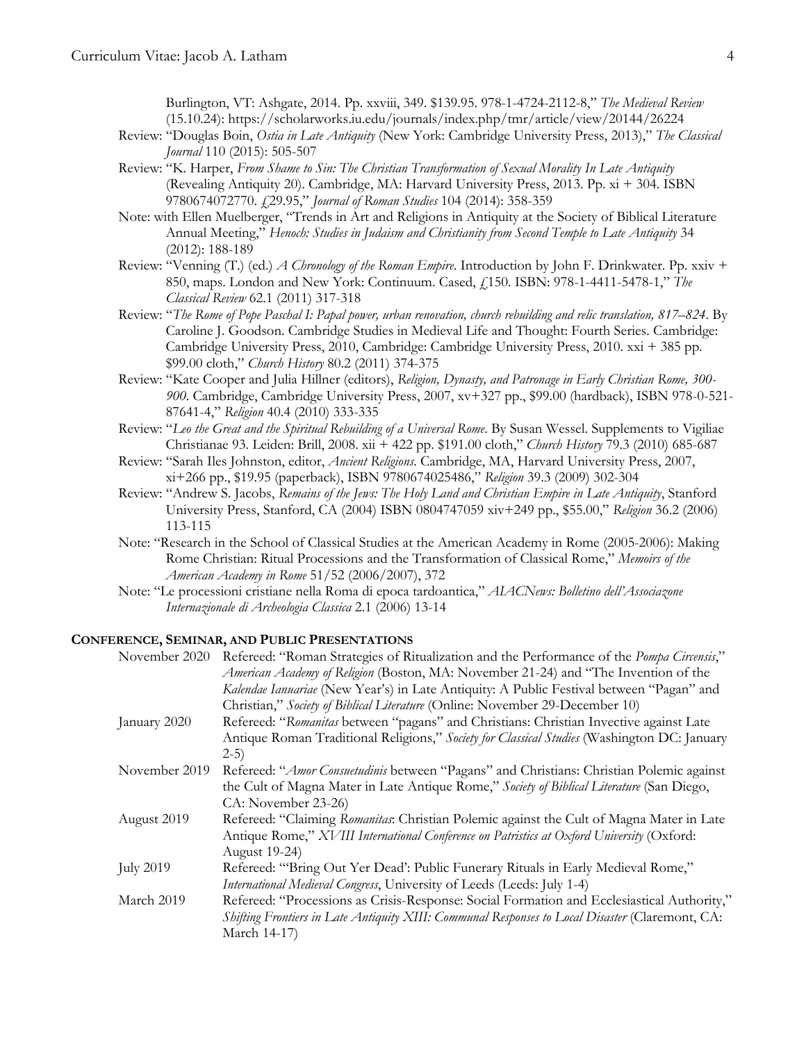Burlington, VT: Ashgate, 2014. Pp. xxviii, 349. \$139.95. 978-1-4724-2112-8," *The Medieval Review* (15.10.24): https://scholarworks.iu.edu/journals/index.php/tmr/article/view/20144/26224

- Review: "Douglas Boin, *Ostia in Late Antiquity* (New York: Cambridge University Press, 2013)," *The Classical Journal* 110 (2015): 505-507
- Review: "K. Harper, *From Shame to Sin: The Christian Transformation of Sexual Morality In Late Antiquity* (Revealing Antiquity 20). Cambridge, MA: Harvard University Press, 2013. Pp. xi + 304. ISBN 9780674072770. £29.95," *Journal of Roman Studies* 104 (2014): 358-359
- Note: with Ellen Muelberger, "Trends in Art and Religions in Antiquity at the Society of Biblical Literature Annual Meeting," *Henoch: Studies in Judaism and Christianity from Second Temple to Late Antiquity* 34 (2012): 188-189
- Review: "Venning (T.) (ed.) *A Chronology of the Roman Empire*. Introduction by John F. Drinkwater. Pp. xxiv + 850, maps. London and New York: Continuum. Cased, £150. ISBN: 978-1-4411-5478-1," *The Classical Review* 62.1 (2011) 317-318
- Review: "*The Rome of Pope Paschal I: Papal power, urban renovation, church rebuilding and relic translation, 817–824*. By Caroline J. Goodson. Cambridge Studies in Medieval Life and Thought: Fourth Series. Cambridge: Cambridge University Press, 2010, Cambridge: Cambridge University Press, 2010. xxi + 385 pp. \$99.00 cloth," *Church History* 80.2 (2011) 374-375
- Review: "Kate Cooper and Julia Hillner (editors), *Religion, Dynasty, and Patronage in Early Christian Rome, 300- 900*. Cambridge, Cambridge University Press, 2007, xv+327 pp., \$99.00 (hardback), ISBN 978-0-521- 87641-4," *Religion* 40.4 (2010) 333-335
- Review: "*Leo the Great and the Spiritual Rebuilding of a Universal Rome*. By Susan Wessel. Supplements to Vigiliae Christianae 93. Leiden: Brill, 2008. xii + 422 pp. \$191.00 cloth," *Church History* 79.3 (2010) 685-687
- Review: "Sarah Iles Johnston, editor, *Ancient Religions*. Cambridge, MA, Harvard University Press, 2007, xi+266 pp., \$19.95 (paperback), ISBN 9780674025486," *Religion* 39.3 (2009) 302-304
- Review: "Andrew S. Jacobs, *Remains of the Jews: The Holy Land and Christian Empire in Late Antiquity*, Stanford University Press, Stanford, CA (2004) ISBN 0804747059 xiv+249 pp., \$55.00," *Religion* 36.2 (2006) 113-115
- Note: "Research in the School of Classical Studies at the American Academy in Rome (2005-2006): Making Rome Christian: Ritual Processions and the Transformation of Classical Rome," *Memoirs of the American Academy in Rome* 51/52 (2006/2007), 372
- Note: "Le processioni cristiane nella Roma di epoca tardoantica," *AIACNews: Bolletino dell'Associazone Internazionale di Archeologia Classica* 2.1 (2006) 13-14

## **CONFERENCE, SEMINAR, AND PUBLIC PRESENTATIONS**

| November 2020    | Refereed: "Roman Strategies of Ritualization and the Performance of the <i>Pompa Circensis</i> ," |
|------------------|---------------------------------------------------------------------------------------------------|
|                  | American Academy of Religion (Boston, MA: November 21-24) and "The Invention of the               |
|                  | Kalendae Ianuariae (New Year's) in Late Antiquity: A Public Festival between "Pagan" and          |
|                  | Christian," Society of Biblical Literature (Online: November 29-December 10)                      |
| January 2020     | Refereed: "Romanitas between "pagans" and Christians: Christian Invective against Late            |
|                  | Antique Roman Traditional Religions," Society for Classical Studies (Washington DC: January       |
|                  | $2-5)$                                                                                            |
| November 2019    | Refereed: "Amor Consuetudinis between "Pagans" and Christians: Christian Polemic against          |
|                  | the Cult of Magna Mater in Late Antique Rome," Society of Biblical Literature (San Diego,         |
|                  | CA: November 23-26)                                                                               |
| August 2019      | Refereed: "Claiming Romanitas: Christian Polemic against the Cult of Magna Mater in Late          |
|                  | Antique Rome," XVIII International Conference on Patristics at Oxford University (Oxford:         |
|                  | <b>August 19-24</b> )                                                                             |
| <b>July 2019</b> | Refereed: "Bring Out Yer Dead': Public Funerary Rituals in Early Medieval Rome,"                  |
|                  | International Medieval Congress, University of Leeds (Leeds: July 1-4)                            |
| March 2019       | Refereed: "Processions as Crisis-Response: Social Formation and Ecclesiastical Authority,"        |
|                  | Shifting Frontiers in Late Antiquity XIII: Communal Responses to Local Disaster (Claremont, CA:   |
|                  | March 14-17)                                                                                      |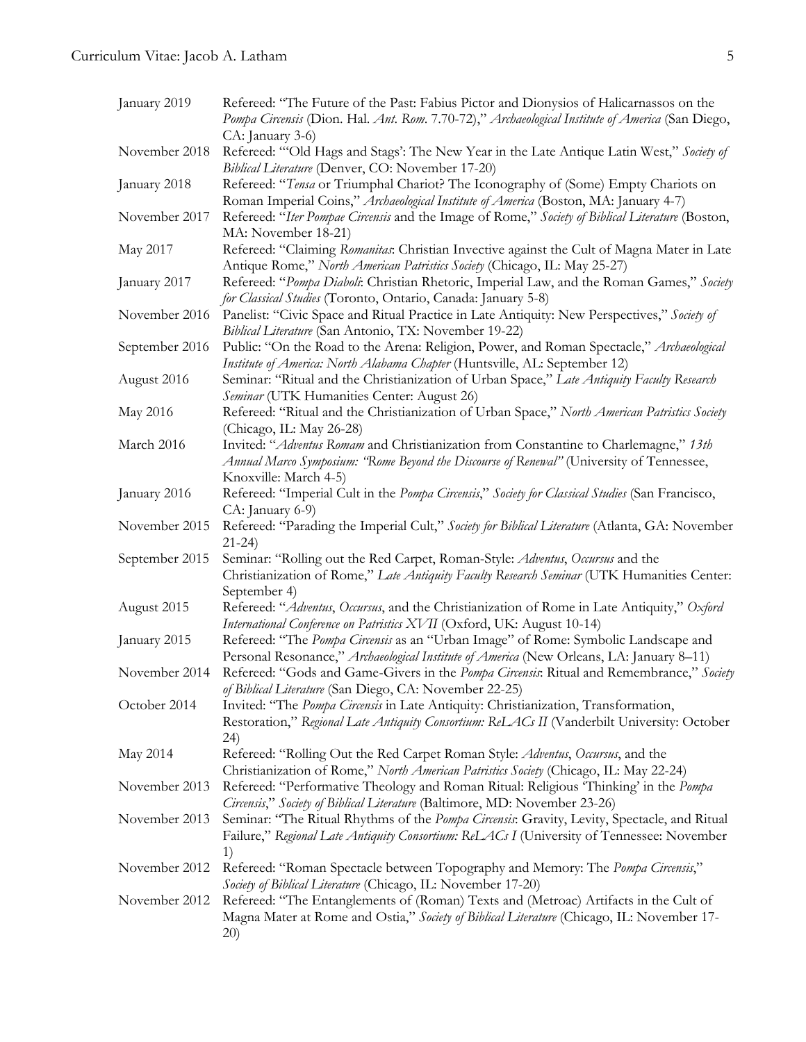| January 2019   | Refereed: "The Future of the Past: Fabius Pictor and Dionysios of Halicarnassos on the<br>Pompa Circensis (Dion. Hal. Ant. Rom. 7.70-72)," Archaeological Institute of America (San Diego,                |
|----------------|-----------------------------------------------------------------------------------------------------------------------------------------------------------------------------------------------------------|
| November 2018  | CA: January 3-6)<br>Refereed: "Old Hags and Stags': The New Year in the Late Antique Latin West," Society of<br>Biblical Literature (Denver, CO: November 17-20)                                          |
| January 2018   | Refereed: "Tensa or Triumphal Chariot? The Iconography of (Some) Empty Chariots on<br>Roman Imperial Coins," Archaeological Institute of America (Boston, MA: January 4-7)                                |
| November 2017  | Refereed: "Iter Pompae Circensis and the Image of Rome," Society of Biblical Literature (Boston,<br>MA: November 18-21)                                                                                   |
| May 2017       | Refereed: "Claiming Romanitas: Christian Invective against the Cult of Magna Mater in Late<br>Antique Rome," North American Patristics Society (Chicago, IL: May 25-27)                                   |
| January 2017   | Refereed: "Pompa Diaboli: Christian Rhetoric, Imperial Law, and the Roman Games," Society<br>for Classical Studies (Toronto, Ontario, Canada: January 5-8)                                                |
| November 2016  | Panelist: "Civic Space and Ritual Practice in Late Antiquity: New Perspectives," Society of<br>Biblical Literature (San Antonio, TX: November 19-22)                                                      |
| September 2016 | Public: "On the Road to the Arena: Religion, Power, and Roman Spectacle," Archaeological<br>Institute of America: North Alabama Chapter (Huntsville, AL: September 12)                                    |
| August 2016    | Seminar: "Ritual and the Christianization of Urban Space," Late Antiquity Faculty Research<br>Seminar (UTK Humanities Center: August 26)                                                                  |
| May 2016       | Refereed: "Ritual and the Christianization of Urban Space," North American Patristics Society<br>(Chicago, IL: May 26-28)                                                                                 |
| March 2016     | Invited: "Adventus Romam and Christianization from Constantine to Charlemagne," 13th<br>Annual Marco Symposium: 'Rome Beyond the Discourse of Renewal" (University of Tennessee,<br>Knoxville: March 4-5) |
| January 2016   | Refereed: "Imperial Cult in the Pompa Circensis," Society for Classical Studies (San Francisco,<br>CA: January 6-9)                                                                                       |
| November 2015  | Refereed: "Parading the Imperial Cult," Society for Biblical Literature (Atlanta, GA: November<br>$21-24$                                                                                                 |
| September 2015 | Seminar: "Rolling out the Red Carpet, Roman-Style: Adventus, Occursus and the<br>Christianization of Rome," Late Antiquity Faculty Research Seminar (UTK Humanities Center:<br>September 4)               |
| August 2015    | Refereed: "Adventus, Occursus, and the Christianization of Rome in Late Antiquity," Oxford<br>International Conference on Patristics XVII (Oxford, UK: August 10-14)                                      |
| January 2015   | Refereed: "The Pompa Circensis as an "Urban Image" of Rome: Symbolic Landscape and<br>Personal Resonance," Archaeological Institute of America (New Orleans, LA: January 8-11)                            |
| November 2014  | Refereed: "Gods and Game-Givers in the Pompa Circensis: Ritual and Remembrance," Society<br>of Biblical Literature (San Diego, CA: November 22-25)                                                        |
| October 2014   | Invited: "The Pompa Circensis in Late Antiquity: Christianization, Transformation,<br>Restoration," Regional Late Antiquity Consortium: ReLACs II (Vanderbilt University: October<br>24)                  |
| May 2014       | Refereed: "Rolling Out the Red Carpet Roman Style: Adventus, Occursus, and the<br>Christianization of Rome," North American Patristics Society (Chicago, IL: May 22-24)                                   |
| November 2013  | Refereed: "Performative Theology and Roman Ritual: Religious 'Thinking' in the Pompa<br>Circensis," Society of Biblical Literature (Baltimore, MD: November 23-26)                                        |
| November 2013  | Seminar: "The Ritual Rhythms of the Pompa Circensis: Gravity, Levity, Spectacle, and Ritual<br>Failure," Regional Late Antiquity Consortium: ReLACs I (University of Tennessee: November<br>1)            |
| November 2012  | Refereed: "Roman Spectacle between Topography and Memory: The Pompa Circensis,"<br>Society of Biblical Literature (Chicago, IL: November 17-20)                                                           |
| November 2012  | Refereed: "The Entanglements of (Roman) Texts and (Metroac) Artifacts in the Cult of<br>Magna Mater at Rome and Ostia," Society of Biblical Literature (Chicago, IL: November 17-<br>20)                  |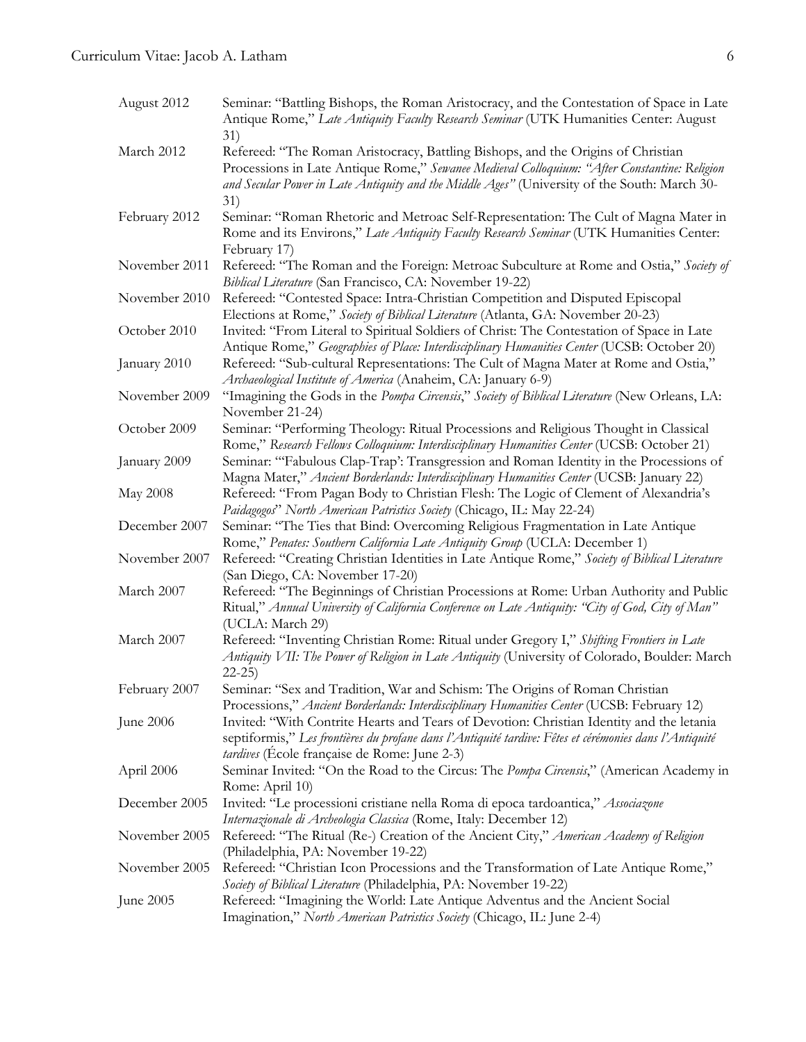# Curriculum Vitae: Jacob A. Latham 6

| August 2012   | Seminar: "Battling Bishops, the Roman Aristocracy, and the Contestation of Space in Late<br>Antique Rome," Late Antiquity Faculty Research Seminar (UTK Humanities Center: August<br>31)                                                                                                |
|---------------|-----------------------------------------------------------------------------------------------------------------------------------------------------------------------------------------------------------------------------------------------------------------------------------------|
| March 2012    | Refereed: "The Roman Aristocracy, Battling Bishops, and the Origins of Christian<br>Processions in Late Antique Rome," Sewanee Medieval Colloquium: "After Constantine: Religion<br>and Secular Power in Late Antiquity and the Middle Ages" (University of the South: March 30-<br>31) |
| February 2012 | Seminar: "Roman Rhetoric and Metroac Self-Representation: The Cult of Magna Mater in<br>Rome and its Environs," Late Antiquity Faculty Research Seminar (UTK Humanities Center:<br>February 17)                                                                                         |
| November 2011 | Refereed: "The Roman and the Foreign: Metroac Subculture at Rome and Ostia," Society of<br>Biblical Literature (San Francisco, CA: November 19-22)                                                                                                                                      |
| November 2010 | Refereed: "Contested Space: Intra-Christian Competition and Disputed Episcopal<br>Elections at Rome," Society of Biblical Literature (Atlanta, GA: November 20-23)                                                                                                                      |
| October 2010  | Invited: "From Literal to Spiritual Soldiers of Christ: The Contestation of Space in Late<br>Antique Rome," Geographies of Place: Interdisciplinary Humanities Center (UCSB: October 20)                                                                                                |
| January 2010  | Refereed: "Sub-cultural Representations: The Cult of Magna Mater at Rome and Ostia,"<br>Archaeological Institute of America (Anaheim, CA: January 6-9)                                                                                                                                  |
| November 2009 | "Imagining the Gods in the Pompa Circensis," Society of Biblical Literature (New Orleans, LA:<br>November 21-24)                                                                                                                                                                        |
| October 2009  | Seminar: "Performing Theology: Ritual Processions and Religious Thought in Classical<br>Rome," Research Fellows Colloquium: Interdisciplinary Humanities Center (UCSB: October 21)                                                                                                      |
| January 2009  | Seminar: "Fabulous Clap-Trap': Transgression and Roman Identity in the Processions of<br>Magna Mater," Ancient Borderlands: Interdisciplinary Humanities Center (UCSB: January 22)                                                                                                      |
| May 2008      | Refereed: "From Pagan Body to Christian Flesh: The Logic of Clement of Alexandria's<br>Paidagogos" North American Patristics Society (Chicago, IL: May 22-24)                                                                                                                           |
| December 2007 | Seminar: "The Ties that Bind: Overcoming Religious Fragmentation in Late Antique<br>Rome," Penates: Southern California Late Antiquity Group (UCLA: December 1)                                                                                                                         |
| November 2007 | Refereed: "Creating Christian Identities in Late Antique Rome," Society of Biblical Literature<br>(San Diego, CA: November 17-20)                                                                                                                                                       |
| March 2007    | Refereed: "The Beginnings of Christian Processions at Rome: Urban Authority and Public<br>Ritual," Annual University of California Conference on Late Antiquity: "City of God, City of Man"<br>(UCLA: March 29)                                                                         |
| March 2007    | Refereed: "Inventing Christian Rome: Ritual under Gregory I," Shifting Frontiers in Late<br>Antiquity VII: The Power of Religion in Late Antiquity (University of Colorado, Boulder: March<br>$22 - 25$                                                                                 |
| February 2007 | Seminar: "Sex and Tradition, War and Schism: The Origins of Roman Christian<br>Processions," Ancient Borderlands: Interdisciplinary Humanities Center (UCSB: February 12)                                                                                                               |
| June 2006     | Invited: "With Contrite Hearts and Tears of Devotion: Christian Identity and the letania<br>septiformis," Les frontières du profane dans l'Antiquité tardive: Fêtes et cérémonies dans l'Antiquité<br><i>tardives</i> (École française de Rome: June 2-3)                               |
| April 2006    | Seminar Invited: "On the Road to the Circus: The <i>Pompa Circensis</i> ," (American Academy in<br>Rome: April 10)                                                                                                                                                                      |
| December 2005 | Invited: "Le processioni cristiane nella Roma di epoca tardoantica," Associazone<br>Internazionale di Archeologia Classica (Rome, Italy: December 12)                                                                                                                                   |
| November 2005 | Refereed: "The Ritual (Re-) Creation of the Ancient City," American Academy of Religion<br>(Philadelphia, PA: November 19-22)                                                                                                                                                           |
| November 2005 | Refereed: "Christian Icon Processions and the Transformation of Late Antique Rome,"<br>Society of Biblical Literature (Philadelphia, PA: November 19-22)                                                                                                                                |
| June 2005     | Refereed: "Imagining the World: Late Antique Adventus and the Ancient Social<br>Imagination," North American Patristics Society (Chicago, IL: June 2-4)                                                                                                                                 |